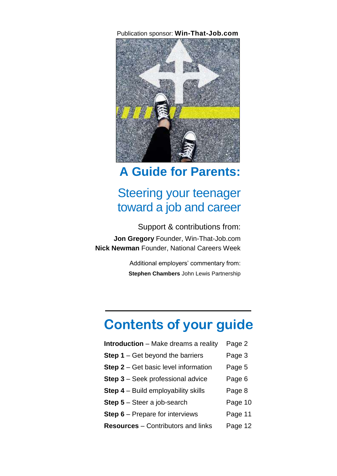#### Publication sponsor: **Win-That-Job.com**



**A Guide for Parents:**

# Steering your teenager toward a job and career

Support & contributions from: **Jon Gregory** Founder, Win-That-Job.com **Nick Newman** Founder, National Careers Week

> Additional employers' commentary from: **Stephen Chambers** John Lewis Partnership

# **Contents of your guide**

| <b>Introduction</b> – Make dreams a reality | Page 2  |
|---------------------------------------------|---------|
| <b>Step 1</b> – Get beyond the barriers     | Page 3  |
| <b>Step 2</b> – Get basic level information | Page 5  |
| Step 3 - Seek professional advice           | Page 6  |
| <b>Step 4</b> – Build employability skills  | Page 8  |
| <b>Step 5</b> $-$ Steer a job-search        | Page 10 |
| <b>Step 6</b> – Prepare for interviews      | Page 11 |
| <b>Resources</b> – Contributors and links   | Page 12 |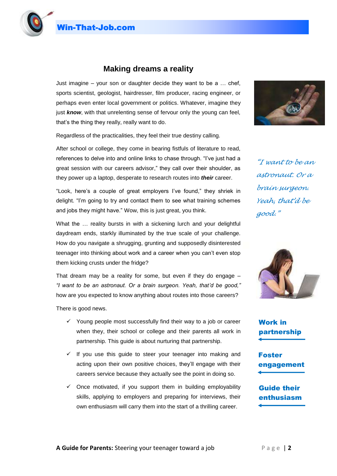

### **Making dreams a reality**

Just imagine – your son or daughter decide they want to be a … chef, sports scientist, geologist, hairdresser, film producer, racing engineer, or perhaps even enter local government or politics. Whatever, imagine they just *know*, with that unrelenting sense of fervour only the young can feel, that's the thing they really, really want to do.

Regardless of the practicalities, they feel their true destiny calling.

After school or college, they come in bearing fistfuls of literature to read, references to delve into and online links to chase through. "I've just had a great session with our careers advisor," they call over their shoulder, as they power up a laptop, desperate to research routes into *their* career.

"Look, here's a couple of great employers I've found," they shriek in delight. "I'm going to try and contact them to see what training schemes and jobs they might have." Wow, this is just great, you think.

What the ... reality bursts in with a sickening lurch and your delightful daydream ends, starkly illuminated by the true scale of your challenge. How do you navigate a shrugging, grunting and supposedly disinterested teenager into thinking about work and a career when you can't even stop them kicking crusts under the fridge?

That dream may be a reality for some, but even if they do engage  $-$ *"I want to be an astronaut. Or a brain surgeon. Yeah, that'd be good,"* how are you expected to know anything about routes into those careers?

There is good news.

- $\checkmark$  Young people most successfully find their way to a job or career when they, their school or college and their parents all work in partnership. This guide is about nurturing that partnership.
- ✓ If you use this guide to steer your teenager into making and acting upon their own positive choices, they'll engage with their careers service because they actually see the point in doing so.
- $\checkmark$  Once motivated, if you support them in building employability skills, applying to employers and preparing for interviews, their own enthusiasm will carry them into the start of a thrilling career.



*"I want to be an astronaut. Or a brain surgeon. Yeah, that'd be good."*



Work in partnership

Foster engagement

Guide their enthusiasm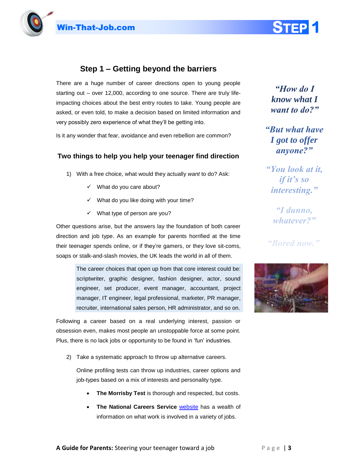

### **Step 1 – Getting beyond the barriers**

There are a huge number of career directions open to young people starting out – over 12,000, according to one source. There are truly lifeimpacting choices about the best entry routes to take. Young people are asked, or even told, to make a decision based on limited information and very possibly zero experience of what they'll be getting into.

Is it any wonder that fear, avoidance and even rebellion are common?

#### **Two things to help you help your teenager find direction**

- 1) With a free choice, what would they actually *want* to do? Ask:
	- ✓ What do you care about?
	- $\checkmark$  What do you like doing with your time?
	- $\checkmark$  What type of person are you?

Other questions arise, but the answers lay the foundation of both career direction and job type. As an example for parents horrified at the time their teenager spends online, or if they're gamers, or they love sit-coms, soaps or stalk-and-slash movies, the UK leads the world in all of them.

> The career choices that open up from that core interest could be: scriptwriter, graphic designer, fashion designer, actor, sound engineer, set producer, event manager, accountant, project manager, IT engineer, legal professional, marketer, PR manager, recruiter, international sales person, HR administrator, and so on.

Following a career based on a real underlying interest, passion or obsession even, makes most people an unstoppable force at some point. Plus, there is no lack jobs or opportunity to be found in 'fun' industries.

2) Take a systematic approach to throw up alternative careers.

Online profiling tests can throw up industries, career options and job-types based on a mix of interests and personality type.

- **The Morrisby Test** is thorough and respected, but costs.
- **The National Careers Service [website](https://nationalcareersservice.direct.gov.uk/) has a wealth of** information on what work is involved in a variety of jobs.

*"How do I know what I want to do?"*

**STEP 1** 

*"But what have I got to offer anyone?"*

*"You look at it, if it's so interesting."*

> *"I dunno, whatever?"*

*"Bored now."*

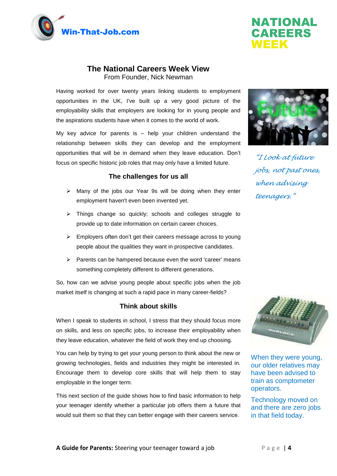



## **The National Careers Week View**

From Founder, Nick Newman

Having worked for over twenty years linking students to employment opportunities in the UK, I've built up a very good picture of the employability skills that employers are looking for in young people and the aspirations students have when it comes to the world of work.

My key advice for parents is  $-$  help your children understand the relationship between skills they can develop and the employment opportunities that will be in demand when they leave education. Don't focus on specific historic job roles that may only have a limited future.

#### **The challenges for us all**

- ➢ Many of the jobs our Year 9s will be doing when they enter employment haven't even been invented yet.
- ➢ Things change so quickly; schools and colleges struggle to provide up to date information on certain career choices.
- ➢ Employers often don't get their careers message across to young people about the qualities they want in prospective candidates.
- ➢ Parents can be hampered because even the word 'career' means something completely different to different generations.

So, how can we advise young people about specific jobs when the job market itself is changing at such a rapid pace in many career-fields?

#### **Think about skills**

When I speak to students in school, I stress that they should focus more on skills, and less on specific jobs, to increase their employability when they leave education, whatever the field of work they end up choosing.

You can help by trying to get your young person to think about the new or growing technologies, fields and industries they might be interested in. Encourage them to develop core skills that will help them to stay employable in the longer term.

This next section of the guide shows how to find basic information to help your teenager identify whether a particular job offers them a future that would suit them so that they can better engage with their careers service.



*"I Look at future jobs, not past ones, when advising teenagers."*



When they were young, our older relatives may have been advised to train as comptometer operators.

Technology moved on and there are zero jobs in that field today.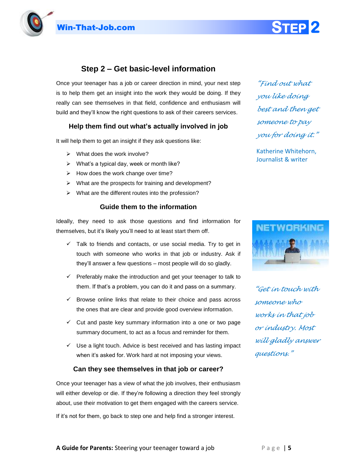

### **Step 2 – Get basic-level information**

Once your teenager has a job or career direction in mind, your next step is to help them get an insight into the work they would be doing. If they really can see themselves in that field, confidence and enthusiasm will build and they'll know the right questions to ask of their careers services.

#### **Help them find out what's actually involved in job**

It will help them to get an insight if they ask questions like:

- $\triangleright$  What does the work involve?
- $\triangleright$  What's a typical day, week or month like?
- $\triangleright$  How does the work change over time?
- ➢ What are the prospects for training and development?
- ➢ What are the different routes into the profession?

#### **Guide them to the information**

Ideally, they need to ask those questions and find information for themselves, but it's likely you'll need to at least start them off.

- $\checkmark$  Talk to friends and contacts, or use social media. Try to get in touch with someone who works in that job or industry. Ask if they'll answer a few questions – most people will do so gladly.
- $\checkmark$  Preferably make the introduction and get your teenager to talk to them. If that's a problem, you can do it and pass on a summary.
- $\checkmark$  Browse online links that relate to their choice and pass across the ones that are clear and provide good overview information.
- ✓ Cut and paste key summary information into a one or two page summary document, to act as a focus and reminder for them.
- $\checkmark$  Use a light touch. Advice is best received and has lasting impact when it's asked for. Work hard at not imposing your views.

#### **Can they see themselves in that job or career?**

Once your teenager has a view of what the job involves, their enthusiasm will either develop or die. If they're following a direction they feel strongly about, use their motivation to get them engaged with the careers service.

If it's not for them, go back to step one and help find a stronger interest.

*"Find out what you like doing best and then get someone to pay you for doing it."* Katherine Whitehorn,

**STEP 2** 

Journalist & writer



*"Get in touch with someone who works in that job or industry. Most will gladly answer questions."*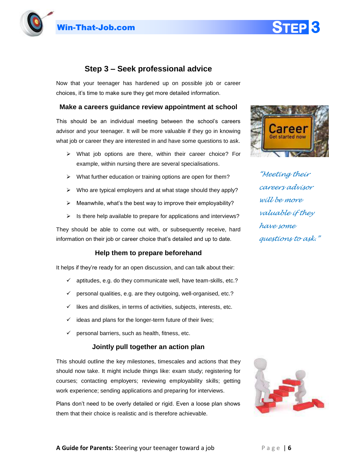

### **Step 3 – Seek professional advice**

Now that your teenager has hardened up on possible job or career choices, it's time to make sure they get more detailed information.

#### **Make a careers guidance review appointment at school**

This should be an individual meeting between the school's careers advisor and your teenager. It will be more valuable if they go in knowing what job or career they are interested in and have some questions to ask.

- ➢ What job options are there, within their career choice? For example, within nursing there are several specialisations.
- ➢ What further education or training options are open for them?
- ➢ Who are typical employers and at what stage should they apply?
- $\triangleright$  Meanwhile, what's the best way to improve their employability?
- $\triangleright$  Is there help available to prepare for applications and interviews?

They should be able to come out with, or subsequently receive, hard information on their job or career choice that's detailed and up to date.

#### **Help them to prepare beforehand**

It helps if they're ready for an open discussion, and can talk about their:

- $\checkmark$  aptitudes, e.g. do they communicate well, have team-skills, etc.?
- $\checkmark$  personal qualities, e.g. are they outgoing, well-organised, etc.?
- likes and dislikes, in terms of activities, subjects, interests, etc.
- ideas and plans for the longer-term future of their lives;
- personal barriers, such as health, fitness, etc.

#### **Jointly pull together an action plan**

This should outline the key milestones, timescales and actions that they should now take. It might include things like: exam study: registering for courses; contacting employers; reviewing employability skills; getting work experience; sending applications and preparing for interviews.

Plans don't need to be overly detailed or rigid. Even a loose plan shows them that their choice is realistic and is therefore achievable.



**STEP 3** 

*"Meeting their careers advisor will be more valuable if they have some questions to ask."*

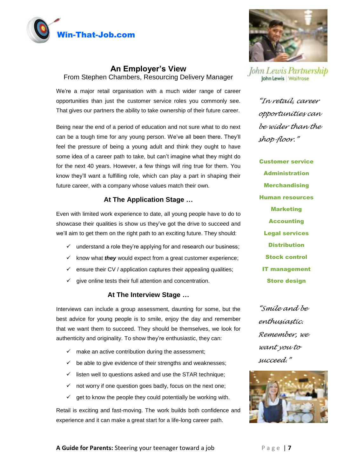

### **An Employer's View**

From Stephen Chambers, Resourcing Delivery Manager

We're a major retail organisation with a much wider range of career opportunities than just the customer service roles you commonly see. That gives our partners the ability to take ownership of their future career.

Being near the end of a period of education and not sure what to do next can be a tough time for any young person. We've all been there. They'll feel the pressure of being a young adult and think they ought to have some idea of a career path to take, but can't imagine what they might do for the next 40 years. However, a few things will ring true for them. You know they'll want a fulfilling role, which can play a part in shaping their future career, with a company whose values match their own.

### **At The Application Stage …**

Even with limited work experience to date, all young people have to do to showcase their qualities is show us they've got the drive to succeed and we'll aim to get them on the right path to an exciting future. They should:

- $\checkmark$  understand a role they're applying for and research our business;
- ✓ know what *they* would expect from a great customer experience;
- $\checkmark$  ensure their CV / application captures their appealing qualities;
- $\checkmark$  give online tests their full attention and concentration.

#### **At The Interview Stage …**

Interviews can include a group assessment, daunting for some, but the best advice for young people is to smile, enjoy the day and remember that we want them to succeed. They should be themselves, we look for authenticity and originality. To show they're enthusiastic, they can:

- $\checkmark$  make an active contribution during the assessment;
- $\checkmark$  be able to give evidence of their strengths and weaknesses;
- $\checkmark$  listen well to questions asked and use the STAR technique;
- $\checkmark$  not worry if one question goes badly, focus on the next one;
- $\checkmark$  get to know the people they could potentially be working with.

Retail is exciting and fast-moving. The work builds both confidence and experience and it can make a great start for a life-long career path.



John Lewis Partnership John Lewis Waitrose

*"In retail, career opportunities can be wider than the shop-floor."*

Customer service Administration **Merchandising** Human resources Marketing Accounting Legal services **Distribution** Stock control IT management Store design

*"Smile and be enthusiastic. Remember, we want you to succeed."*

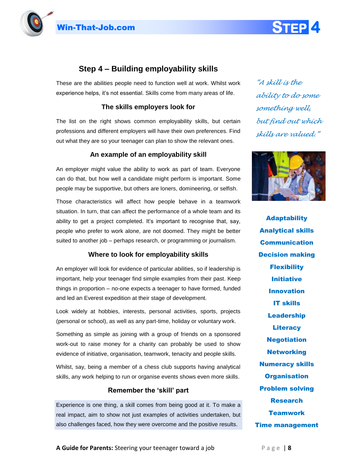



These are the abilities people need to function well at work. Whilst work experience helps, it's not essential. Skills come from many areas of life.

#### **The skills employers look for**

The list on the right shows common employability skills, but certain professions and different employers will have their own preferences. Find out what they are so your teenager can plan to show the relevant ones.

#### **An example of an employability skill**

An employer might value the ability to work as part of team. Everyone can do that, but how well a candidate might perform is important. Some people may be supportive, but others are loners, domineering, or selfish.

Those characteristics will affect how people behave in a teamwork situation. In turn, that can affect the performance of a whole team and its ability to get a project completed. It's important to recognise that, say, people who prefer to work alone, are not doomed. They might be better suited to another job – perhaps research, or programming or journalism.

#### **Where to look for employability skills**

An employer will look for evidence of particular abilities, so if leadership is important, help your teenager find simple examples from their past. Keep things in proportion – no-one expects a teenager to have formed, funded and led an Everest expedition at their stage of development.

Look widely at hobbies, interests, personal activities, sports, projects (personal or school), as well as any part-time, holiday or voluntary work.

Something as simple as joining with a group of friends on a sponsored work-out to raise money for a charity can probably be used to show evidence of initiative, organisation, teamwork, tenacity and people skills.

Whilst, say, being a member of a chess club supports having analytical skills, any work helping to run or organise events shows even more skills.

#### **Remember the 'skill' part**

Experience is one thing, a skill comes from being good at it. To make a real impact, aim to show not just examples of activities undertaken, but also challenges faced, how they were overcome and the positive results.

*"A skill is the ability to do some something well, but find out which skills are valued."*

**STEP 4** 



**Adaptability** Analytical skills Communication Decision making **Flexibility Initiative** Innovation IT skills Leadership **Literacy** Negotiation **Networking** Numeracy skills **Organisation** Problem solving Research Teamwork Time management

**A Guide for Parents:** Steering your teenager toward a job P a g e | 8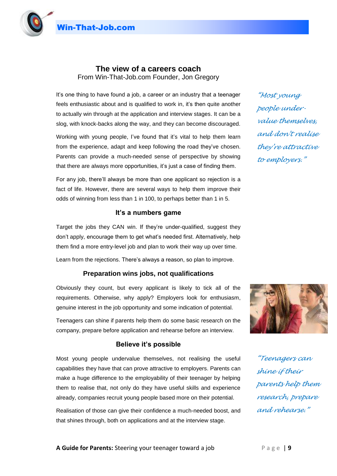

**The view of a careers coach** From Win-That-Job.com Founder, Jon Gregory

It's one thing to have found a job, a career or an industry that a teenager feels enthusiastic about and is qualified to work in, it's then quite another to actually win through at the application and interview stages. It can be a slog, with knock-backs along the way, and they can become discouraged.

Working with young people, I've found that it's vital to help them learn from the experience, adapt and keep following the road they've chosen. Parents can provide a much-needed sense of perspective by showing that there are always more opportunities, it's just a case of finding them.

For any job, there'll always be more than one applicant so rejection is a fact of life. However, there are several ways to help them improve their odds of winning from less than 1 in 100, to perhaps better than 1 in 5.

#### **It's a numbers game**

Target the jobs they CAN win. If they're under-qualified, suggest they don't apply, encourage them to get what's needed first. Alternatively, help them find a more entry-level job and plan to work their way up over time.

Learn from the rejections. There's always a reason, so plan to improve.

#### **Preparation wins jobs, not qualifications**

Obviously they count, but every applicant is likely to tick all of the requirements. Otherwise, why apply? Employers look for enthusiasm, genuine interest in the job opportunity and some indication of potential.

Teenagers can shine if parents help them do some basic research on the company, prepare before application and rehearse before an interview.

#### **Believe it's possible**

Most young people undervalue themselves, not realising the useful capabilities they have that can prove attractive to employers. Parents can make a huge difference to the employability of their teenager by helping them to realise that, not only do they have useful skills and experience already, companies recruit young people based more on their potential.

Realisation of those can give their confidence a much-needed boost, and that shines through, both on applications and at the interview stage.

*"Most young people undervalue themselves, and don't realise they're attractive to employers."*



*"Teenagers can shine if their parents help them research, prepare and rehearse."*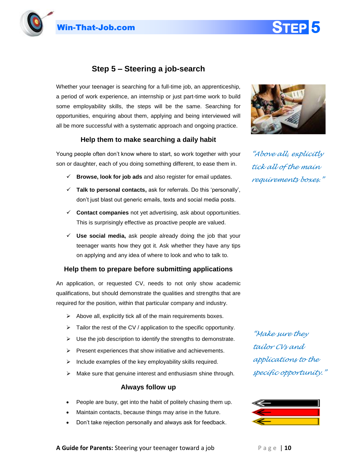

### **Step 5 – Steering a job-search**

Whether your teenager is searching for a full-time job, an apprenticeship, a period of work experience, an internship or just part-time work to build some employability skills, the steps will be the same. Searching for opportunities, enquiring about them, applying and being interviewed will all be more successful with a systematic approach and ongoing practice.

#### **Help them to make searching a daily habit**

Young people often don't know where to start, so work together with your son or daughter, each of you doing something different, to ease them in.

- ✓ **Browse, look for job ads** and also register for email updates.
- ✓ **Talk to personal contacts,** ask for referrals. Do this 'personally', don't just blast out generic emails, texts and social media posts.
- ✓ **Contact companies** not yet advertising, ask about opportunities. This is surprisingly effective as proactive people are valued.
- ✓ **Use social media,** ask people already doing the job that your teenager wants how they got it. Ask whether they have any tips on applying and any idea of where to look and who to talk to.

#### **Help them to prepare before submitting applications**

An application, or requested CV, needs to not only show academic qualifications, but should demonstrate the qualities and strengths that are required for the position, within that particular company and industry.

- ➢ Above all, explicitly tick all of the main requirements boxes.
- ➢ Tailor the rest of the CV / application to the specific opportunity.
- $\triangleright$  Use the job description to identify the strengths to demonstrate.
- ➢ Present experiences that show initiative and achievements.
- $\triangleright$  Include examples of the key employability skills required.
- ➢ Make sure that genuine interest and enthusiasm shine through.

#### **Always follow up**

- People are busy, get into the habit of politely chasing them up.
- Maintain contacts, because things may arise in the future.
- Don't take rejection personally and always ask for feedback.



**STEP 5** 

*"Above all, explicitly tick all of the main requirements boxes."*

*"Make sure they tailor CVs and applications to the specific opportunity."*



**A Guide for Parents:** Steering your teenager toward a job P a g e | 10

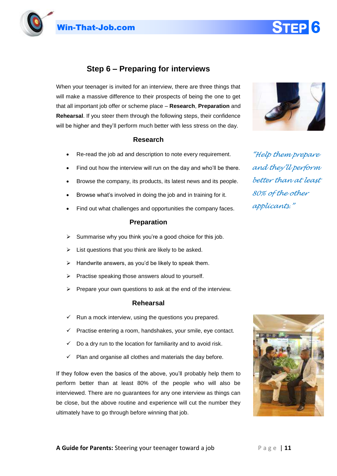

### **Step 6 – Preparing for interviews**

When your teenager is invited for an interview, there are three things that will make a massive difference to their prospects of being the one to get that all important job offer or scheme place – **Research**, **Preparation** and **Rehearsal**. If you steer them through the following steps, their confidence will be higher and they'll perform much better with less stress on the day.

#### **Research**

- Re-read the job ad and description to note every requirement.
- Find out how the interview will run on the day and who'll be there.
- Browse the company, its products, its latest news and its people.
- Browse what's involved in doing the job and in training for it.
- Find out what challenges and opportunities the company faces.

#### **Preparation**

- $\triangleright$  Summarise why you think you're a good choice for this job.
- List questions that you think are likely to be asked.
- Handwrite answers, as you'd be likely to speak them.
- ➢ Practise speaking those answers aloud to yourself.
- ➢ Prepare your own questions to ask at the end of the interview.

#### **Rehearsal**

- $\checkmark$  Run a mock interview, using the questions you prepared.
- ✓ Practise entering a room, handshakes, your smile, eye contact.
- $\checkmark$  Do a dry run to the location for familiarity and to avoid risk.
- $\checkmark$  Plan and organise all clothes and materials the day before.

If they follow even the basics of the above, you'll probably help them to perform better than at least 80% of the people who will also be interviewed. There are no guarantees for any one interview as things can be close, but the above routine and experience will cut the number they ultimately have to go through before winning that job.



**STEP 6** 

*"Help them prepare and they'll perform better than at least 80% of the other applicants."*